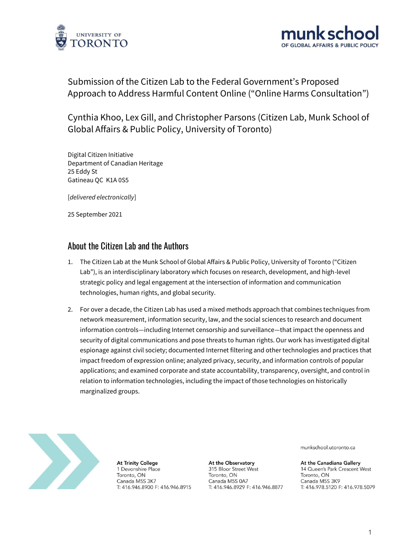



# Submission of the Citizen Lab to the Federal Government's Proposed Approach to Address Harmful Content Online ("Online Harms Consultation")

Cynthia Khoo, Lex Gill, and Christopher Parsons (Citizen Lab, Munk School of Global Affairs & Public Policy, University of Toronto)

Digital Citizen Initiative Department of Canadian Heritage 25 Eddy St Gatineau QC K1A 0S5

[*delivered electronically*]

25 September 2021

#### About the Citizen Lab and the Authors

- 1. The Citizen Lab at the Munk School of Global Affairs & Public Policy, University of Toronto ("Citizen Lab"), is an interdisciplinary laboratory which focuses on research, development, and high-level strategic policy and legal engagement at the intersection of information and communication technologies, human rights, and global security.
- 2. For over a decade, the Citizen Lab has used a mixed methods approach that combines techniques from network measurement, information security, law, and the social sciences to research and document information controls—including Internet censorship and surveillance—that impact the openness and security of digital communications and pose threats to human rights. Our work has investigated digital espionage against civil society; documented Internet filtering and other technologies and practices that impact freedom of expression online; analyzed privacy, security, and information controls of popular applications; and examined corporate and state accountability, transparency, oversight, and control in relation to information technologies, including the impact of those technologies on historically marginalized groups.



**At Trinity College** 1 Devonshire Place Toronto, ON Canada M5S 3K7 T: 416.946.8900 F: 416.946.8915

At the Observatory 315 Bloor Street West Toronto, ON Canada M5S 0A7 T: 416.946.8929 F: 416.946.8877 munkschool.utoronto.ca

At the Canadiana Gallery 14 Queen's Park Crescent West Toronto, ON Canada M5S 3K9 T: 416.978.5120 F: 416.978.5079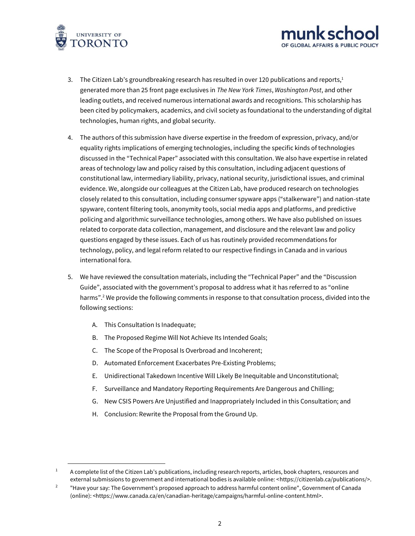



- 3. The Citizen Lab's groundbreaking research has resulted in over 120 publications and reports, $1$ generated more than 25 front page exclusives in *The New York Times*, *Washington Post*, and other leading outlets, and received numerous international awards and recognitions. This scholarship has been cited by policymakers, academics, and civil society as foundational to the understanding of digital technologies, human rights, and global security.
- 4. The authors of this submission have diverse expertise in the freedom of expression, privacy, and/or equality rights implications of emerging technologies, including the specific kinds of technologies discussed in the "Technical Paper" associated with this consultation. We also have expertise in related areas of technology law and policy raised by this consultation, including adjacent questions of constitutional law, intermediary liability, privacy, national security, jurisdictional issues, and criminal evidence. We, alongside our colleagues at the Citizen Lab, have produced research on technologies closely related to this consultation, including consumer spyware apps ("stalkerware") and nation-state spyware, content filtering tools, anonymity tools, social media apps and platforms, and predictive policing and algorithmic surveillance technologies, among others. We have also published on issues related to corporate data collection, management, and disclosure and the relevant law and policy questions engaged by these issues. Each of us has routinely provided recommendations for technology, policy, and legal reform related to our respective findings in Canada and in various international fora.
- 5. We have reviewed the consultation materials, including the "Technical Paper" and the "Discussion Guide", associated with the government's proposal to address what it has referred to as "online harms".<sup>2</sup> We provide the following comments in response to that consultation process, divided into the following sections:
	- A. This Consultation Is Inadequate;
	- B. The Proposed Regime Will Not Achieve Its Intended Goals;
	- C. The Scope of the Proposal Is Overbroad and Incoherent;
	- D. Automated Enforcement Exacerbates Pre-Existing Problems;
	- E. Unidirectional Takedown Incentive Will Likely Be Inequitable and Unconstitutional;
	- F. Surveillance and Mandatory Reporting Requirements Are Dangerous and Chilling;
	- G. New CSIS Powers Are Unjustified and Inappropriately Included in this Consultation; and
	- H. Conclusion: Rewrite the Proposal from the Ground Up.

 $1 - A$  complete list of the Citizen Lab's publications, including research reports, articles, book chapters, resources and external submissions to government and international bodies is available online: [<https://citizenlab.ca/publications/>](https://citizenlab.ca/publications/).

<sup>2</sup> "Have your say: The Government's proposed approach to address harmful content online", Government of Canada (online): [<https://www.canada.ca/en/canadian-heritage/campaigns/harmful-online-content.html>](https://www.canada.ca/en/canadian-heritage/campaigns/harmful-online-content.html).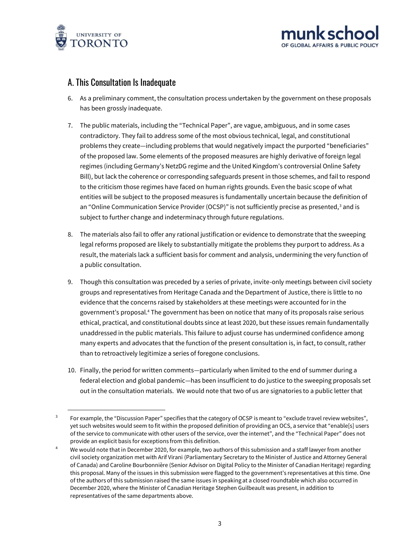



#### A. This Consultation Is Inadequate

- 6. As a preliminary comment, the consultation process undertaken by the government on these proposals has been grossly inadequate.
- 7. The public materials, including the "Technical Paper", are vague, ambiguous, and in some cases contradictory. They fail to address some of the most obvious technical, legal, and constitutional problems they create—including problems that would negatively impact the purported "beneficiaries" of the proposed law. Some elements of the proposed measures are highly derivative of foreign legal regimes (including Germany's NetzDG regime and the United Kingdom's controversial Online Safety Bill), but lack the coherence or corresponding safeguards present in those schemes, and fail to respond to the criticism those regimes have faced on human rights grounds. Even the basic scope of what entities will be subject to the proposed measures is fundamentally uncertain because the definition of an "Online Communication Service Provider (OCSP)" is not sufficiently precise as presented,<sup>3</sup> and is subject to further change and indeterminacy through future regulations.
- 8. The materials also fail to offer any rational justification or evidence to demonstrate that the sweeping legal reforms proposed are likely to substantially mitigate the problems they purport to address. As a result, the materials lack a sufficient basis for comment and analysis, undermining the very function of a public consultation.
- 9. Though this consultation was preceded by a series of private, invite-only meetings between civil society groups and representatives from Heritage Canada and the Department of Justice, there is little to no evidence that the concerns raised by stakeholders at these meetings were accounted for in the government's proposal.<sup>4</sup> The government has been on notice that many of its proposals raise serious ethical, practical, and constitutional doubts since at least 2020, but these issues remain fundamentally unaddressed in the public materials. This failure to adjust course has undermined confidence among many experts and advocates that the function of the present consultation is, in fact, to consult, rather than to retroactively legitimize a series of foregone conclusions.
- 10. Finally, the period for written comments—particularly when limited to the end of summer during a federal election and global pandemic—has been insufficient to do justice to the sweeping proposals set out in the consultation materials. We would note that two of us are signatories to a public letter that

<sup>3</sup> For example, the "Discussion Paper" specifies that the category of OCSP is meant to "exclude travel review websites", yet such websites would seem to fit within the proposed definition of providing an OCS, a service that "enable[s] users of the service to communicate with other users of the service, over the internet", and the "Technical Paper" does not provide an explicit basis for exceptions from this definition.

<sup>4</sup> We would note that in December 2020, for example, two authors of this submission and a staff lawyer from another civil society organization met with Arif Virani (Parliamentary Secretary to the Minister of Justice and Attorney General of Canada) and Caroline Bourbonnière (Senior Advisor on Digital Policy to the Minister of Canadian Heritage) regarding this proposal. Many of the issues in this submission were flagged to the government's representatives at this time. One of the authors of this submission raised the same issues in speaking at a closed roundtable which also occurred in December 2020, where the Minister of Canadian Heritage Stephen Guilbeault was present, in addition to representatives of the same departments above.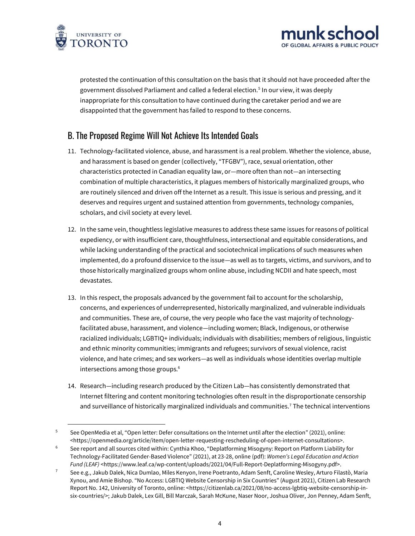

protested the continuation of this consultation on the basis that it should not have proceeded after the government dissolved Parliament and called a federal election.<sup>5</sup> In our view, it was deeply inappropriate for this consultation to have continued during the caretaker period and we are disappointed that the government has failed to respond to these concerns.

OF GLOBAL AFFAIRS & PUBLIC POL

## B. The Proposed Regime Will Not Achieve Its Intended Goals

- 11. Technology-facilitated violence, abuse, and harassment is a real problem. Whether the violence, abuse, and harassment is based on gender (collectively, "TFGBV"), race, sexual orientation, other characteristics protected in Canadian equality law, or—more often than not—an intersecting combination of multiple characteristics, it plagues members of historically marginalized groups, who are routinely silenced and driven off the Internet as a result. This issue is serious and pressing, and it deserves and requires urgent and sustained attention from governments, technology companies, scholars, and civil society at every level.
- 12. In the same vein, thoughtless legislative measures to address these same issues for reasons of political expediency, or with insufficient care, thoughtfulness, intersectional and equitable considerations, and while lacking understanding of the practical and sociotechnical implications of such measures when implemented, do a profound disservice to the issue—as well as to targets, victims, and survivors, and to those historically marginalized groups whom online abuse, including NCDII and hate speech, most devastates.
- 13. In this respect, the proposals advanced by the government fail to account for the scholarship, concerns, and experiences of underrepresented, historically marginalized, and vulnerable individuals and communities. These are, of course, the very people who face the vast majority of technologyfacilitated abuse, harassment, and violence—including women; Black, Indigenous, or otherwise racialized individuals; LGBTIQ+ individuals; individuals with disabilities; members of religious, linguistic and ethnic minority communities; immigrants and refugees; survivors of sexual violence, racist violence, and hate crimes; and sex workers—as well as individuals whose identities overlap multiple intersections among those groups.<sup>6</sup>
- 14. Research—including research produced by the Citizen Lab—has consistently demonstrated that Internet filtering and content monitoring technologies often result in the disproportionate censorship and surveillance of historically marginalized individuals and communities.<sup>7</sup> The technical interventions

<sup>5</sup> See OpenMedia et al, "Open letter: Defer consultations on the Internet until after the election" (2021), online: [<https://openmedia.org/article/item/open-letter-requesting-rescheduling-of-open-internet-consultations>](https://openmedia.org/article/item/open-letter-requesting-rescheduling-of-open-internet-consultations).

<sup>&</sup>lt;sup>6</sup> See report and all sources cited within: Cynthia Khoo, "Deplatforming Misogyny: Report on Platform Liability for Technology-Facilitated Gender-Based Violence" (2021), at 23-28, online (pdf): *Women's Legal Education and Action Fund (LEAF)* [<https://www.leaf.ca/wp-content/uploads/2021/04/Full-Report-Deplatforming-Misogyny.pdf>](https://www.leaf.ca/wp-content/uploads/2021/04/Full-Report-Deplatforming-Misogyny.pdf).

<sup>&</sup>lt;sup>7</sup> See e.g., Jakub Dalek, Nica Dumlao, Miles Kenyon, Irene Poetranto, Adam Senft, Caroline Wesley, Arturo Filastò, Maria Xynou, and Amie Bishop. "No Access: LGBTIQ Website Censorship in Six Countries" (August 2021), Citizen Lab Research Report No. 142, University of Toronto, online: [<https://citizenlab.ca/2021/08/no-access-lgbtiq-website-censorship-in](https://citizenlab.ca/2021/08/no-access-lgbtiq-website-censorship-in-six-countries/)[six-countries/>](https://citizenlab.ca/2021/08/no-access-lgbtiq-website-censorship-in-six-countries/); Jakub Dalek, Lex Gill, Bill Marczak, Sarah McKune, Naser Noor, Joshua Oliver, Jon Penney, Adam Senft,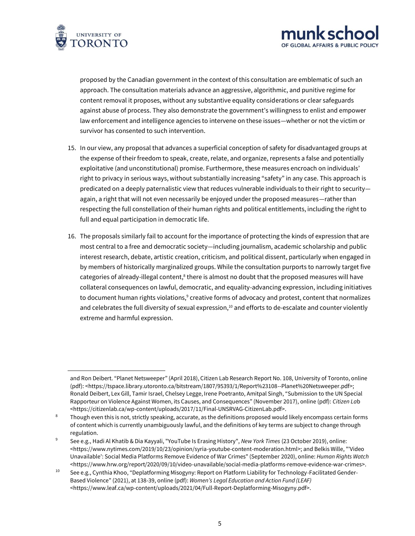

proposed by the Canadian government in the context of this consultation are emblematic of such an approach. The consultation materials advance an aggressive, algorithmic, and punitive regime for content removal it proposes, without any substantive equality considerations or clear safeguards against abuse of process. They also demonstrate the government's willingness to enlist and empower law enforcement and intelligence agencies to intervene on these issues—whether or not the victim or survivor has consented to such intervention.

OF GLOBAL AFFAIRS & PUBLIC POLIC

- 15. In our view, any proposal that advances a superficial conception of safety for disadvantaged groups at the expense of their freedom to speak, create, relate, and organize, represents a false and potentially exploitative (and unconstitutional) promise. Furthermore, these measures encroach on individuals' right to privacy in serious ways, without substantially increasing "safety" in any case. This approach is predicated on a deeply paternalistic view that reduces vulnerable individuals to their right to security again, a right that will not even necessarily be enjoyed under the proposed measures—rather than respecting the full constellation of their human rights and political entitlements, including the right to full and equal participation in democratic life.
- 16. The proposals similarly fail to account for the importance of protecting the kinds of expression that are most central to a free and democratic society—including journalism, academic scholarship and public interest research, debate, artistic creation, criticism, and political dissent, particularly when engaged in by members of historically marginalized groups. While the consultation purports to narrowly target five categories of already-illegal content, $8$  there is almost no doubt that the proposed measures will have collateral consequences on lawful, democratic, and equality-advancing expression, including initiatives to document human rights violations, $^9$  creative forms of advocacy and protest, content that normalizes and celebrates the full diversity of sexual expression, $10$  and efforts to de-escalate and counter violently extreme and harmful expression.

and Ron Deibert. "Planet Netsweeper" (April 2018), Citizen Lab Research Report No. 108, University of Toronto, online (pdf): [<https://tspace.library.utoronto.ca/bitstream/1807/95393/1/Report%23108--Planet%20Netsweeper.pdf>](https://tspace.library.utoronto.ca/bitstream/1807/95393/1/Report%23108--Planet%20Netsweeper.pdf); Ronald Deibert, Lex Gill, Tamir Israel, Chelsey Legge, Irene Poetranto, Amitpal Singh, "Submission to the UN Special Rapporteur on Violence Against Women, its Causes, and Consequences" (November 2017), online (pdf): *Citizen La*b [<https://citizenlab.ca/wp-content/uploads/2017/11/Final-UNSRVAG-CitizenLab.pdf>](https://citizenlab.ca/wp-content/uploads/2017/11/Final-UNSRVAG-CitizenLab.pdf).

<sup>&</sup>lt;sup>8</sup> Though even this is not, strictly speaking, accurate, as the definitions proposed would likely encompass certain forms of content which is currently unambiguously lawful, and the definitions of key terms are subject to change through regulation.

<sup>9</sup> See e.g., Hadi Al Khatib & Dia Kayyali, "YouTube Is Erasing History", *New York Times* (23 October 2019), online: [<https://www.nytimes.com/2019/10/23/opinion/syria-youtube-content-moderation.html>](https://www.nytimes.com/2019/10/23/opinion/syria-youtube-content-moderation.html); and Belkis Wille, "'Video Unavailable': Social Media Platforms Remove Evidence of War Crimes" (September 2020), online: *Human Rights Watch* [<https://www.hrw.org/report/2020/09/10/video-unavailable/social-media-platforms-remove-evidence-war-crimes>](https://www.hrw.org/report/2020/09/10/video-unavailable/social-media-platforms-remove-evidence-war-crimes).

<sup>&</sup>lt;sup>10</sup> See e.g., Cynthia Khoo, "Deplatforming Misogyny: Report on Platform Liability for Technology-Facilitated Gender-Based Violence" (2021), at 138-39, online (pdf): *Women's Legal Education and Action Fund (LEAF)* [<https://www.leaf.ca/wp-content/uploads/2021/04/Full-Report-Deplatforming-Misogyny.pdf>](https://www.leaf.ca/wp-content/uploads/2021/04/Full-Report-Deplatforming-Misogyny.pdf).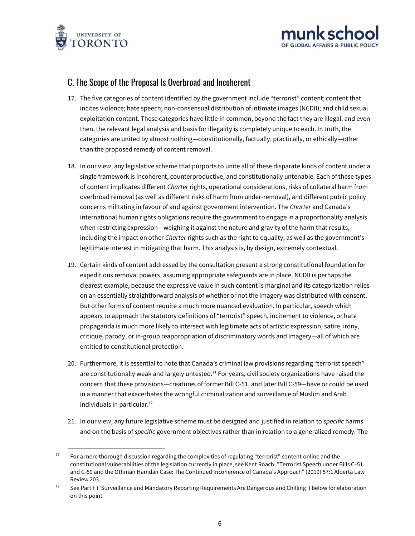



### C. The Scope of the Proposal Is Overbroad and Incoherent

- 17. The five categories of content identified by the government include "terrorist" content; content that incites violence; hate speech; non-consensual distribution of intimate images (NCDII); and child sexual exploitation content. These categories have little in common, beyond the fact they are illegal, and even then, the relevant legal analysis and basis for illegality is completely unique to each. In truth, the categories are united by almost nothing—constitutionally, factually, practically, or ethically—other than the proposed remedy of content removal.
- 18. In our view, any legislative scheme that purports to unite all of these disparate kinds of content under a single framework is incoherent, counterproductive, and constitutionally untenable. Each of these types of content implicates different *Charter* rights, operational considerations, risks of collateral harm from overbroad removal (as well as different risks of harm from under-removal), and different public policy concerns militating in favour of and against government intervention. The *Charter* and Canada's international human rights obligations require the government to engage in a proportionality analysis when restricting expression—weighing it against the nature and gravity of the harm that results, including the impact on other *Charter* rights such as the right to equality, as well as the government's legitimate interest in mitigating that harm. This analysis is, by design, extremely contextual.
- 19. Certain kinds of content addressed by the consultation present a strong constitutional foundation for expeditious removal powers, assuming appropriate safeguards are in place. NCDII is perhaps the clearest example, because the expressive value in such content is marginal and its categorization relies on an essentially straightforward analysis of whether or not the imagery was distributed with consent. But other forms of content require a much more nuanced evaluation. In particular, speech which appears to approach the statutory definitions of "terrorist" speech, incitement to violence, or hate propaganda is much more likely to intersect with legitimate acts of artistic expression, satire, irony, critique, parody, or in-group reappropriation of discriminatory words and imagery—all of which are entitled to constitutional protection.
- 20. Furthermore, it is essential to note that Canada's criminal law provisions regarding "terrorist speech" are constitutionally weak and largely untested.<sup>11</sup> For years, civil society organizations have raised the concern that these provisions—creatures of former Bill C-51, and later Bill C-59—have or could be used in a manner that exacerbates the wrongful criminalization and surveillance of Muslim and Arab individuals in particular.<sup>12</sup>
- 21. In our view, any future legislative scheme must be designed and justified in relation to *specific* harms and on the basis of *specific* government objectives rather than in relation to a generalized remedy. The

 $11$  For a more thorough discussion regarding the complexities of regulating "terrorist" content online and the constitutional vulnerabilities of the legislation currently in place, see Kent Roach, "Terrorist Speech under Bills C-51 and C-59 and the Othman Hamdan Case: The Continued Incoherence of Canada's Approach" (2019) 57:1 Alberta Law Review 203.

<sup>&</sup>lt;sup>12</sup> See Part F ("Surveillance and Mandatory Reporting Requirements Are Dangerous and Chilling") below for elaboration on this point.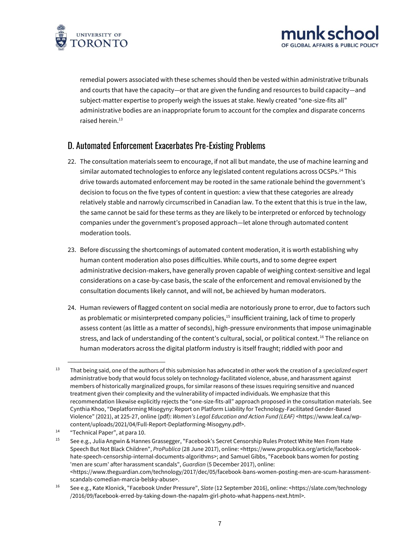



remedial powers associated with these schemes should then be vested within administrative tribunals and courts that have the capacity—or that are given the funding and resources to build capacity—and subject-matter expertise to properly weigh the issues at stake. Newly created "one-size-fits all" administrative bodies are an inappropriate forum to account for the complex and disparate concerns raised herein $13$ 

## D. Automated Enforcement Exacerbates Pre-Existing Problems

- 22. The consultation materials seem to encourage, if not all but mandate, the use of machine learning and similar automated technologies to enforce any legislated content regulations across OCSPs.<sup>14</sup> This drive towards automated enforcement may be rooted in the same rationale behind the government's decision to focus on the five types of content in question: a view that these categories are already relatively stable and narrowly circumscribed in Canadian law. To the extent that this is true in the law, the same cannot be said for these terms as they are likely to be interpreted or enforced by technology companies under the government's proposed approach—let alone through automated content moderation tools.
- 23. Before discussing the shortcomings of automated content moderation, it is worth establishing why human content moderation also poses difficulties. While courts, and to some degree expert administrative decision-makers, have generally proven capable of weighing context-sensitive and legal considerations on a case-by-case basis, the scale of the enforcement and removal envisioned by the consultation documents likely cannot, and will not, be achieved by human moderators.
- 24. Human reviewers of flagged content on social media are notoriously prone to error, due to factors such as problematic or misinterpreted company policies,<sup>15</sup> insufficient training, lack of time to properly assess content (as little as a matter of seconds), high-pressure environments that impose unimaginable stress, and lack of understanding of the content's cultural, social, or political context.<sup>16</sup> The reliance on human moderators across the digital platform industry is itself fraught; riddled with poor and

<sup>13</sup> That being said, one of the authors of this submission has advocated in other work the creation of a *specialized expert*  administrative body that would focus solely on technology-facilitated violence, abuse, and harassment against members of historically marginalized groups, for similar reasons of these issues requiring sensitive and nuanced treatment given their complexity and the vulnerability of impacted individuals. We emphasize that this recommendation likewise explicitly rejects the "one-size-fits-all" approach proposed in the consultation materials. See Cynthia Khoo, "Deplatforming Misogyny: Report on Platform Liability for Technology-Facilitated Gender-Based Violence" (2021), at 225-27, online (pdf): *Women's Legal Education and Action Fund (LEAF)* [<https://www.leaf.ca/wp](https://www.leaf.ca/wp-content/uploads/2021/04/Full-Report-Deplatforming-Misogyny.pdf)[content/uploads/2021/04/Full-Report-Deplatforming-Misogyny.pdf>](https://www.leaf.ca/wp-content/uploads/2021/04/Full-Report-Deplatforming-Misogyny.pdf).

<sup>14</sup> "Technical Paper", at para 10.

<sup>&</sup>lt;sup>15</sup> See e.g., Julia Angwin & Hannes Grassegger, "Facebook's Secret Censorship Rules Protect White Men From Hate Speech But Not Black Children", *ProPublica* (28 June 2017), online: [<https://www.propublica.org/article/facebook](https://www.propublica.org/article/facebook-hate-speech-censorship-internal-documents-algorithms)[hate-speech-censorship-internal-documents-algorithms>](https://www.propublica.org/article/facebook-hate-speech-censorship-internal-documents-algorithms); and Samuel Gibbs, "Facebook bans women for posting 'men are scum' after harassment scandals", *Guardian* (5 December 2017), online: [<https://www.theguardian.com/technology/2017/dec/05/facebook-bans-women-posting-men-are-scum-harassment](https://www.theguardian.com/technology/2017/dec/05/facebook-bans-women-posting-men-are-scum-harassment-scandals-comedian-marcia-belsky-abuse)[scandals-comedian-marcia-belsky-abuse>](https://www.theguardian.com/technology/2017/dec/05/facebook-bans-women-posting-men-are-scum-harassment-scandals-comedian-marcia-belsky-abuse).

<sup>16</sup> See e.g., Kate Klonick, "Facebook Under Pressure", *Slate* (12 September 2016), online: [<https://slate.com/technology](https://slate.com/technology/2016/09/facebook-erred-by-taking-down-the-napalm-girl-photo-what-happens-next.html) [/2016/09/facebook-erred-by-taking-down-the-napalm-girl-photo-what-happens-next.html>](https://slate.com/technology/2016/09/facebook-erred-by-taking-down-the-napalm-girl-photo-what-happens-next.html).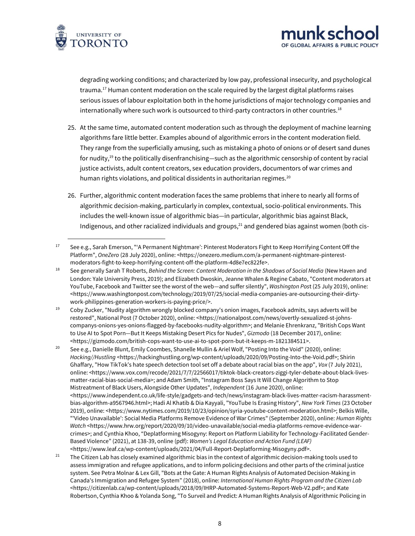

degrading working conditions; and characterized by low pay, professional insecurity, and psychological trauma.<sup>17</sup> Human content moderation on the scale required by the largest digital platforms raises serious issues of labour exploitation both in the home jurisdictions of major technology companies and internationally where such work is outsourced to third-party contractors in other countries.<sup>18</sup>

**k**cch

OF GLOBAL AFFAIRS & PUBLIC POLIC

- 25. At the same time, automated content moderation such as through the deployment of machine learning algorithms fare little better. Examples abound of algorithmic errors in the content moderation field. They range from the superficially amusing, such as mistaking a photo of onions or of desert sand dunes for nudity,<sup>19</sup> to the politically disenfranchising—such as the algorithmic censorship of content by racial justice activists, adult content creators, sex education providers, documentors of war crimes and human rights violations, and political dissidents in authoritarian regimes.<sup>20</sup>
- 26. Further, algorithmic content moderation faces the same problems that inhere to nearly all forms of algorithmic decision-making, particularly in complex, contextual, socio-political environments. This includes the well-known issue of algorithmic bias—in particular, algorithmic bias against Black, Indigenous, and other racialized individuals and groups, $21$  and gendered bias against women (both cis-

<sup>&</sup>lt;sup>17</sup> See e.g., Sarah Emerson, "'A Permanent Nightmare': Pinterest Moderators Fight to Keep Horrifying Content Off the Platform", *OneZero* (28 July 2020), online: [<https://onezero.medium.com/a-permanent-nightmare-pinterest](https://onezero.medium.com/a-permanent-nightmare-pinterest-moderators-fight-to-keep-horrifying-content-off-the-platform-4d8e7ec822fe)[moderators-fight-to-keep-horrifying-content-off-the-platform-4d8e7ec822fe>](https://onezero.medium.com/a-permanent-nightmare-pinterest-moderators-fight-to-keep-horrifying-content-off-the-platform-4d8e7ec822fe).

<sup>18</sup> See generally Sarah T Roberts, *Behind the Screen: Content Moderation in the Shadows of Social Media* (New Haven and London: Yale University Press, 2019); and Elizabeth Dwoskin, Jeanne Whalen & Regine Cabato, "Content moderators at YouTube, Facebook and Twitter see the worst of the web—and suffer silently", *Washington Pos*t (25 July 2019), online: [<https://www.washingtonpost.com/technology/2019/07/25/social-media-companies-are-outsourcing-their-dirty](https://www.washingtonpost.com/technology/2019/07/25/social-media-companies-are-outsourcing-their-dirty-work-philippines-generation-workers-is-paying-price/)[work-philippines-generation-workers-is-paying-price/>](https://www.washingtonpost.com/technology/2019/07/25/social-media-companies-are-outsourcing-their-dirty-work-philippines-generation-workers-is-paying-price/).

<sup>19</sup> Coby Zucker, "Nudity algorithm wrongly blocked company's onion images, Facebook admits, says adverts will be restored", National Post (7 October 2020), online: [<https://nationalpost.com/news/overtly-sexualized-st-johns](https://nationalpost.com/news/overtly-sexualized-st-johns-companys-onions-yes-onions-flagged-by-facebooks-nudity-algorithm)[companys-onions-yes-onions-flagged-by-facebooks-nudity-algorithm>](https://nationalpost.com/news/overtly-sexualized-st-johns-companys-onions-yes-onions-flagged-by-facebooks-nudity-algorithm); and Melanie Ehrenkranz, "British Cops Want to Use AI to Spot Porn—But It Keeps Mistaking Desert Pics for Nudes", *Gizmodo* (18 December 2017), online: [<https://gizmodo.com/british-cops-want-to-use-ai-to-spot-porn-but-it-keeps-m-1821384511>](https://gizmodo.com/british-cops-want-to-use-ai-to-spot-porn-but-it-keeps-m-1821384511).

<sup>&</sup>lt;sup>20</sup> See e.g., Danielle Blunt, Emily Coombes, Shanelle Mullin & Ariel Wolf, "Posting Into the Void" (2020), online: *Hacking//Hustling* [<https://hackinghustling.org/wp-content/uploads/2020/09/Posting-Into-the-Void.pdf>](https://hackinghustling.org/wp-content/uploads/2020/09/Posting-Into-the-Void.pdf); Shirin Ghaffary, "How TikTok's hate speech detection tool set off a debate about racial bias on the app", *Vox* (7 July 2021), online: [<https://www.vox.com/recode/2021/7/7/22566017/tiktok-black-creators-ziggi-tyler-debate-about-black-lives](https://www.vox.com/recode/2021/7/7/22566017/tiktok-black-creators-ziggi-tyler-debate-about-black-lives-matter-racial-bias-social-media)[matter-racial-bias-social-media>](https://www.vox.com/recode/2021/7/7/22566017/tiktok-black-creators-ziggi-tyler-debate-about-black-lives-matter-racial-bias-social-media); and Adam Smith, "Instagram Boss Says It Will Change Algorithm to Stop Mistreatment of Black Users, Alongside Other Updates", *Independent* (16 June 2020), online: [<https://www.independent.co.uk/life-style/gadgets-and-tech/news/instagram-black-lives-matter-racism-harassment](https://www.independent.co.uk/life-style/gadgets-and-tech/news/instagram-black-lives-matter-racism-harassment-bias-algorithm-a9567946.html)[bias-algorithm-a9567946.html>](https://www.independent.co.uk/life-style/gadgets-and-tech/news/instagram-black-lives-matter-racism-harassment-bias-algorithm-a9567946.html); Hadi Al Khatib & Dia Kayyali, "YouTube Is Erasing History", *New York Times* (23 October 2019), online: [<https://www.nytimes.com/2019/10/23/opinion/syria-youtube-content-moderation.html>](https://www.nytimes.com/2019/10/23/opinion/syria-youtube-content-moderation.html); Belkis Wille, "'Video Unavailable': Social Media Platforms Remove Evidence of War Crimes" (September 2020), online: *Human Rights Watch* [<https://www.hrw.org/report/2020/09/10/video-unavailable/social-media-platforms-remove-evidence-war](https://www.hrw.org/report/2020/09/10/video-unavailable/social-media-platforms-remove-evidence-war-crimes)[crimes](https://www.hrw.org/report/2020/09/10/video-unavailable/social-media-platforms-remove-evidence-war-crimes)>; and Cynthia Khoo, "Deplatforming Misogyny: Report on Platform Liability for Technology-Facilitated Gender-Based Violence" (2021), at 138-39, online (pdf): *Women's Legal Education and Action Fund (LEAF)* [<https://www.leaf.ca/wp-content/uploads/2021/04/Full-Report-Deplatforming-Misogyny.pdf>](https://www.leaf.ca/wp-content/uploads/2021/04/Full-Report-Deplatforming-Misogyny.pdf).

<sup>&</sup>lt;sup>21</sup> The Citizen Lab has closely examined algorithmic bias in the context of algorithmic decision-making tools used to assess immigration and refugee applications, and to inform policing decisions and other parts of the criminal justice system. See Petra Molnar & Lex Gill, "Bots at the Gate: A Human Rights Analysis of Automated Decision-Making in Canada's Immigration and Refugee System" (2018), online: *International Human Rights Program and the Citizen Lab*  [<https://citizenlab.ca/wp-content/uploads/2018/09/IHRP-Automated-Systems-Report-Web-V2.pdf>](https://citizenlab.ca/wp-content/uploads/2018/09/IHRP-Automated-Systems-Report-Web-V2.pdf); and Kate Robertson, Cynthia Khoo & Yolanda Song, "To Surveil and Predict: A Human Rights Analysis of Algorithmic Policing in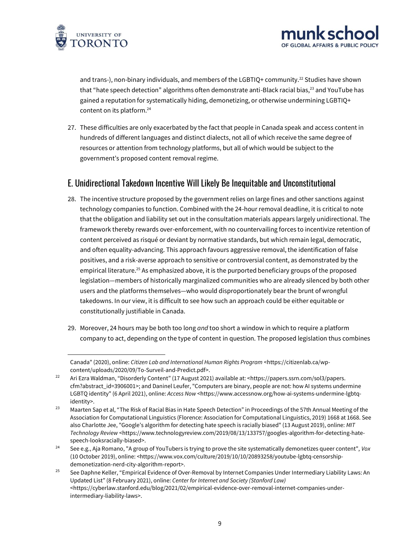



and trans-), non-binary individuals, and members of the LGBTIQ+ community.<sup>22</sup> Studies have shown that "hate speech detection" algorithms often demonstrate anti-Black racial bias,<sup>23</sup> and YouTube has gained a reputation for systematically hiding, demonetizing, or otherwise undermining LGBTIQ+ content on its platform.<sup>24</sup>

27. These difficulties are only exacerbated by the fact that people in Canada speak and access content in hundreds of different languages and distinct dialects, not all of which receive the same degree of resources or attention from technology platforms, but all of which would be subject to the government's proposed content removal regime.

## E. Unidirectional Takedown Incentive Will Likely Be Inequitable and Unconstitutional

- 28. The incentive structure proposed by the government relies on large fines and other sanctions against technology companies to function. Combined with the 24-hour removal deadline, it is critical to note that the obligation and liability set out in the consultation materials appears largely unidirectional. The framework thereby rewards over-enforcement, with no countervailing forces to incentivize retention of content perceived as risqué or deviant by normative standards, but which remain legal, democratic, and often equality-advancing. This approach favours aggressive removal, the identification of false positives, and a risk-averse approach to sensitive or controversial content, as demonstrated by the empirical literature.<sup>25</sup> As emphasized above, it is the purported beneficiary groups of the proposed legislation—members of historically marginalized communities who are already silenced by both other users and the platforms themselves—who would disproportionately bear the brunt of wrongful takedowns. In our view, it is difficult to see how such an approach could be either equitable or constitutionally justifiable in Canada.
- 29. Moreover, 24 hours may be both too long *and* too short a window in which to require a platform company to act, depending on the type of content in question. The proposed legislation thus combines

Canada" (2020), online: *Citizen Lab and International Human Rights Program* [<https://citizenlab.ca/wp](https://citizenlab.ca/wp-content/uploads/2020/09/To-Surveil-and-Predict.pdf)[content/uploads/2020/09/To-Surveil-and-Predict.pdf>](https://citizenlab.ca/wp-content/uploads/2020/09/To-Surveil-and-Predict.pdf).

<sup>&</sup>lt;sup>22</sup> Ari Ezra Waldman, "Disorderly Content" (17 August 2021) available at: <https://papers.ssrn.com/sol3/papers. [cfm?abstract\\_id=3906001>](https://papers.ssrn.com/sol3/papers.%20cfm?abstract_id=3906001); and Daninel Leufer, "Computers are binary, people are not: how AI systems undermine LGBTQ identity" (6 April 2021), online: *Access Now* [<https://www.accessnow.org/how-ai-systems-undermine-lgbtq](https://www.accessnow.org/how-ai-systems-undermine-lgbtq-identity)[identity>](https://www.accessnow.org/how-ai-systems-undermine-lgbtq-identity).

<sup>&</sup>lt;sup>23</sup> Maarten Sap et al, "The Risk of Racial Bias in Hate Speech Detection" in Proceedings of the 57th Annual Meeting of the Association for Computational Linguistics (Florence: Association for Computational Linguistics, 2019) 1668 at 1668. See also Charlotte Jee, "Google's algorithm for detecting hate speech is racially biased" (13 August 2019), online: *MIT Technology Review* [<https://www.technologyreview.com/2019/08/13/133757/googles-algorithm-for-detecting-hate](https://www.technologyreview.com/2019/08/13/133757/googles-algorithm-for-detecting-hate-speech-looksracially-biased)[speech-looksracially-biased>](https://www.technologyreview.com/2019/08/13/133757/googles-algorithm-for-detecting-hate-speech-looksracially-biased).

<sup>24</sup> See e.g., Aja Romano, "A group of YouTubers is trying to prove the site systematically demonetizes queer content", *Vox* (10 October 2019), online: [<https://www.vox.com/culture/2019/10/10/20893258/youtube-lgbtq-censorship](https://www.vox.com/culture/2019/10/10/20893258/youtube-lgbtq-censorship-demonetization-nerd-city-algorithm-report)[demonetization-nerd-city-algorithm-report>](https://www.vox.com/culture/2019/10/10/20893258/youtube-lgbtq-censorship-demonetization-nerd-city-algorithm-report).

<sup>&</sup>lt;sup>25</sup> See Daphne Keller, "Empirical Evidence of Over-Removal by Internet Companies Under Intermediary Liability Laws: An [Updated List](http://cyberlaw.stanford.edu/blog/2021/02/empirical-evidence-over-removal-internet-companies-under-intermediary-liability-laws)" (8 February 2021), online: *Center for Internet and Society (Stanford Law)* [<https://cyberlaw.stanford.edu/blog/2021/02/empirical-evidence-over-removal-internet-companies-under](https://cyberlaw.stanford.edu/blog/2021/02/empirical-evidence-over-removal-internet-companies-under-intermediary-liability-laws)[intermediary-liability-laws>](https://cyberlaw.stanford.edu/blog/2021/02/empirical-evidence-over-removal-internet-companies-under-intermediary-liability-laws).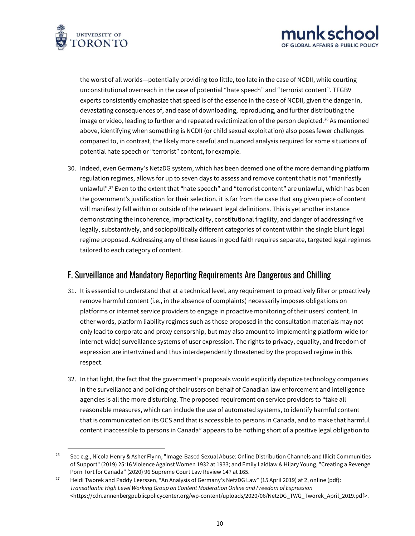



the worst of all worlds—potentially providing too little, too late in the case of NCDII, while courting unconstitutional overreach in the case of potential "hate speech" and "terrorist content". TFGBV experts consistently emphasize that speed is of the essence in the case of NCDII, given the danger in, devastating consequences of, and ease of downloading, reproducing, and further distributing the image or video, leading to further and repeated revictimization of the person depicted.<sup>26</sup> As mentioned above, identifying when something is NCDII (or child sexual exploitation) also poses fewer challenges compared to, in contrast, the likely more careful and nuanced analysis required for some situations of potential hate speech or "terrorist" content, for example.

30. Indeed, even Germany's NetzDG system, which has been deemed one of the more demanding platform regulation regimes, allows for up to seven days to assess and remove content that is not "manifestly unlawful".<sup>27</sup> Even to the extent that "hate speech" and "terrorist content" are unlawful, which has been the government's justification for their selection, it is far from the case that any given piece of content will manifestly fall within or outside of the relevant legal definitions. This is yet another instance demonstrating the incoherence, impracticality, constitutional fragility, and danger of addressing five legally, substantively, and sociopolitically different categories of content within the single blunt legal regime proposed. Addressing any of these issues in good faith requires separate, targeted legal regimes tailored to each category of content.

### F. Surveillance and Mandatory Reporting Requirements Are Dangerous and Chilling

- 31. It is essential to understand that at a technical level, any requirement to proactively filter or proactively remove harmful content (i.e., in the absence of complaints) necessarily imposes obligations on platforms or internet service providers to engage in proactive monitoring of their users' content. In other words, platform liability regimes such as those proposed in the consultation materials may not only lead to corporate and proxy censorship, but may also amount to implementing platform-wide (or internet-wide) surveillance systems of user expression. The rights to privacy, equality, and freedom of expression are intertwined and thus interdependently threatened by the proposed regime in this respect.
- 32. In that light, the fact that the government's proposals would explicitly deputize technology companies in the surveillance and policing of their users on behalf of Canadian law enforcement and intelligence agencies is all the more disturbing. The proposed requirement on service providers to "take all reasonable measures, which can include the use of automated systems, to identify harmful content that is communicated on its OCS and that is accessible to persons in Canada, and to make that harmful content inaccessible to persons in Canada" appears to be nothing short of a positive legal obligation to

<sup>&</sup>lt;sup>26</sup> See e.g., Nicola Henry & Asher Flynn, "Image-Based Sexual Abuse: Online Distribution Channels and Illicit Communities of Support" (2019) 25:16 Violence Against Women 1932 at 1933; and Emily Laidlaw & Hilary Young, "Creating a Revenge Porn Tort for Canada" (2020) 96 Supreme Court Law Review 147 at 165.

<sup>&</sup>lt;sup>27</sup> Heidi Tworek and Paddy Leerssen, "An Analysis of Germany's NetzDG Law" (15 April 2019) at 2, online (pdf): *Transatlantic High Level Working Group on Content Moderation Online and Freedom of Expression* [<https://cdn.annenbergpublicpolicycenter.org/wp-content/uploads/2020/06/NetzDG\\_TWG\\_Tworek\\_April\\_2019.pdf>](https://cdn.annenbergpublicpolicycenter.org/wp-content/uploads/2020/06/NetzDG_TWG_Tworek_April_2019.pdf).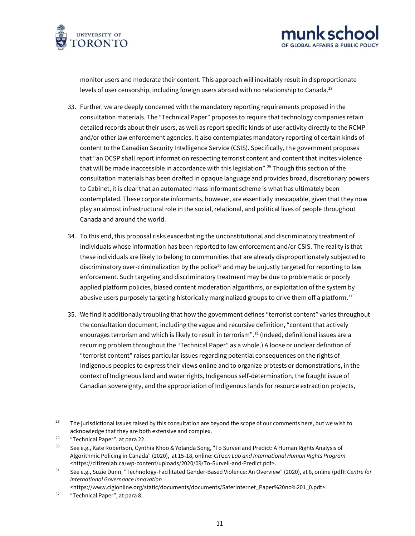



monitor users and moderate their content. This approach will inevitably result in disproportionate levels of user censorship, including foreign users abroad with no relationship to Canada.<sup>28</sup>

- 33. Further, we are deeply concerned with the mandatory reporting requirements proposed in the consultation materials. The "Technical Paper" proposes to require that technology companies retain detailed records about their users, as well as report specific kinds of user activity directly to the RCMP and/or other law enforcement agencies. It also contemplates mandatory reporting of certain kinds of content to the Canadian Security Intelligence Service (CSIS). Specifically, the government proposes that "an OCSP shall report information respecting terrorist content and content that incites violence that will be made inaccessible in accordance with this legislation".<sup>29</sup> Though this section of the consultation materials has been drafted in opaque language and provides broad, discretionary powers to Cabinet, it is clear that an automated mass informant scheme is what has ultimately been contemplated. These corporate informants, however, are essentially inescapable, given that they now play an almost infrastructural role in the social, relational, and political lives of people throughout Canada and around the world.
- 34. To this end, this proposal risks exacerbating the unconstitutional and discriminatory treatment of individuals whose information has been reported to law enforcement and/or CSIS. The reality is that these individuals are likely to belong to communities that are already disproportionately subjected to discriminatory over-criminalization by the police<sup>30</sup> and may be unjustly targeted for reporting to law enforcement. Such targeting and discriminatory treatment may be due to problematic or poorly applied platform policies, biased content moderation algorithms, or exploitation of the system by abusive users purposely targeting historically marginalized groups to drive them off a platform.<sup>31</sup>
- 35. We find it additionally troubling that how the government defines "terrorist content" varies throughout the consultation document, including the vague and recursive definition, "content that actively enourages terrorism and which is likely to result in terrorism".<sup>32</sup> (Indeed, definitional issues are a recurring problem throughout the "Technical Paper" as a whole.) A loose or unclear definition of "terrorist content" raises particular issues regarding potential consequences on the rights of Indigenous peoples to express their views online and to organize protests or demonstrations, in the context of Indigneous land and water rights, Indigenous self-determination, the fraught issue of Canadian sovereignty, and the appropriation of Indigenous lands for resource extraction projects,

[<https://www.cigionline.org/static/documents/documents/SaferInternet\\_Paper%20no%201\\_0.pdf>](https://www.cigionline.org/static/documents/documents/SaferInternet_Paper%20no%201_0.pdf).

<sup>&</sup>lt;sup>28</sup> The jurisdictional issues raised by this consultation are beyond the scope of our comments here, but we wish to acknowledge that they are both extensive and complex.

<sup>29</sup> "Technical Paper", at para 22.

<sup>&</sup>lt;sup>30</sup> See e.g., Kate Robertson, Cynthia Khoo & Yolanda Song, "To Surveil and Predict: A Human Rights Analysis of Algorithmic Policing in Canada" (2020), at 15-18, online: *Citizen Lab and International Human Rights Program*  [<https://citizenlab.ca/wp-content/uploads/2020/09/To-Surveil-and-Predict.pdf>](https://citizenlab.ca/wp-content/uploads/2020/09/To-Surveil-and-Predict.pdf).

<sup>31</sup> See e.g., Suzie Dunn, "Technology-Facilitated Gender-Based Violence: An Overview" (2020), at 8, online (pdf): *Centre for International Governance Innovation* 

<sup>32</sup> "Technical Paper", at para 8.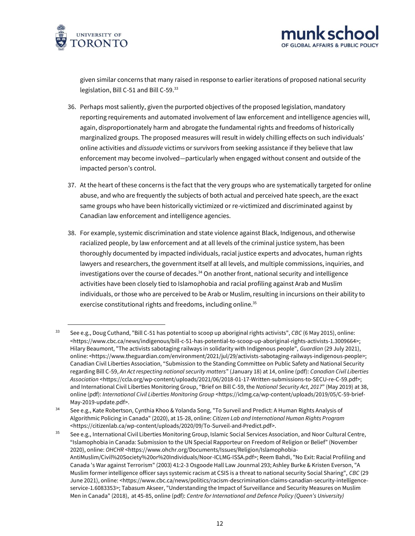



given similar concerns that many raised in response to earlier iterations of proposed national security legislation, Bill C-51 and Bill C-59.<sup>33</sup>

- 36. Perhaps most saliently, given the purported objectives of the proposed legislation, mandatory reporting requirements and automated involvement of law enforcement and intelligence agencies will, again, disproportionately harm and abrogate the fundamental rights and freedoms of historically marginalized groups. The proposed measures will result in widely chilling effects on such individuals' online activities and *dissuade* victims or survivors from seeking assistance if they believe that law enforcement may become involved—particularly when engaged without consent and outside of the impacted person's control.
- 37. At the heart of these concerns is the fact that the very groups who are systematically targeted for online abuse, and who are frequently the subjects of both actual and perceived hate speech, are the exact same groups who have been historically victimized or re-victimized and discriminated against by Canadian law enforcement and intelligence agencies.
- 38. For example, systemic discrimination and state violence against Black, Indigenous, and otherwise racialized people, by law enforcement and at all levels of the criminal justice system, has been thoroughly documented by impacted individuals, racial justice experts and advocates, human rights lawyers and researchers, the government itself at all levels, and multiple commissions, inquiries, and investigations over the course of decades.<sup>34</sup> On another front, national security and intelligence activities have been closely tied to Islamophobia and racial profiling against Arab and Muslim individuals, or those who are perceived to be Arab or Muslim, resulting in incursions on their ability to exercise constitutional rights and freedoms, including online.<sup>35</sup>

<sup>33</sup> See e.g., Doug Cuthand, "Bill C-51 has potential to scoop up aboriginal rights activists", *CBC* (6 May 2015), online: [<https://www.cbc.ca/news/indigenous/bill-c-51-has-potential-to-scoop-up-aboriginal-rights-activists-1.3009664>](https://www.cbc.ca/news/indigenous/bill-c-51-has-potential-to-scoop-up-aboriginal-rights-activists-1.3009664); Hilary Beaumont, "The activists sabotaging railways in solidarity with Indigenous people", *Guardian* (29 July 2021), online: [<https://www.theguardian.com/environment/2021/jul/29/activists-sabotaging-railways-indigenous-people>](https://www.theguardian.com/environment/2021/jul/29/activists-sabotaging-railways-indigenous-people); Canadian Civil Liberties Association, "Submission to the Standing Committee on Public Safety and National Security regarding Bill C-59, *An Act respecting national security matters*" (January 18) at 14, online (pdf): *Canadian Civil Liberties Association* [<https://ccla.org/wp-content/uploads/2021/06/2018-01-17-Written-submissions-to-SECU-re-C-59.pdf>](https://ccla.org/wp-content/uploads/2021/06/2018-01-17-Written-submissions-to-SECU-re-C-59.pdf); and International Civil Liberties Monitoring Group, "Brief on Bill C-59, the *National Security Act, 2017*" (May 2019) at 38, online (pdf): *International Civil Liberties Monitoring Group* [<https://iclmg.ca/wp-content/uploads/2019/05/C-59-brief-](https://iclmg.ca/wp-content/uploads/2019/05/C-59-brief-May-2019-update.pdf)[May-2019-update.pdf>](https://iclmg.ca/wp-content/uploads/2019/05/C-59-brief-May-2019-update.pdf).

<sup>&</sup>lt;sup>34</sup> See e.g., Kate Robertson, Cynthia Khoo & Yolanda Song, "To Surveil and Predict: A Human Rights Analysis of Algorithmic Policing in Canada" (2020), at 15-28, online: *Citizen Lab and International Human Rights Program*  [<https://citizenlab.ca/wp-content/uploads/2020/09/To-Surveil-and-Predict.pdf>](https://citizenlab.ca/wp-content/uploads/2020/09/To-Surveil-and-Predict.pdf).

<sup>&</sup>lt;sup>35</sup> See e.g., International Civil Liberties Monitoring Group, Islamic Social Services Association, and Noor Cultural Centre, "Islamophobia in Canada: Submission to the UN Special Rapporteur on Freedom of Religion or Belief" (November 2020), online: *OHCHR* [<https://www.ohchr.org/Documents/Issues/Religion/Islamophobia-](https://www.ohchr.org/Documents/Issues/Religion/Islamophobia-AntiMuslim/Civil%20Society%20or%20Individuals/Noor-ICLMG-ISSA.pdf)[AntiMuslim/Civil%20Society%20or%20Individuals/Noor-ICLMG-ISSA.pdf>](https://www.ohchr.org/Documents/Issues/Religion/Islamophobia-AntiMuslim/Civil%20Society%20or%20Individuals/Noor-ICLMG-ISSA.pdf); Reem Bahdi, "No Exit: Racial Profiling and Canada 's War against Terrorism" (2003) 41:2-3 Osgoode Hall Law Jounrnal 293; Ashley Burke & Kristen Everson, "A Muslim former intelligence officer says systemic racism at CSIS is a threat to national security Social Sharing", *CBC* (29 June 2021), online: [<https://www.cbc.ca/news/politics/racism-descrimination-claims-canadian-security-intelligence](https://www.cbc.ca/news/politics/racism-descrimination-claims-canadian-security-intelligence-service-1.6083353)[service-1.6083353>](https://www.cbc.ca/news/politics/racism-descrimination-claims-canadian-security-intelligence-service-1.6083353); Tabasum Akseer, "Understanding the Impact of Surveillance and Security Measures on Muslim Men in Canada" (2018), at 45-85, online (pdf): *Centre for International and Defence Policy (Queen's University)*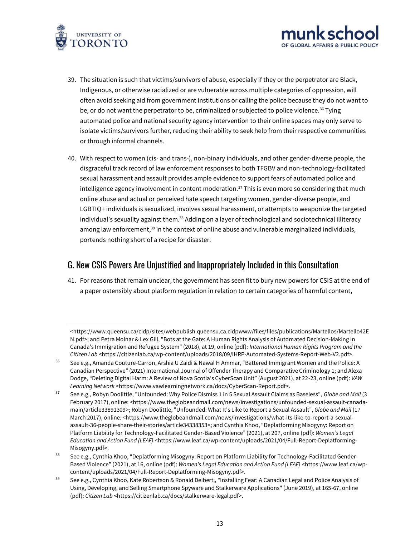



- 39. The situation is such that victims/survivors of abuse, especially if they or the perpetrator are Black, Indigenous, or otherwise racialized or are vulnerable across multiple categories of oppression, will often avoid seeking aid from government institutions or calling the police because they do not want to be, or do not want the perpetrator to be, criminalized or subjected to police violence.<sup>36</sup> Tying automated police and national security agency intervention to their online spaces may only serve to isolate victims/survivors further, reducing their ability to seek help from their respective communities or through informal channels.
- 40. With respect to women (cis- and trans-), non-binary individuals, and other gender-diverse people, the disgraceful track record of law enforcement responses to both TFGBV and non-technology-facilitated sexual harassment and assault provides ample evidence to support fears of automated police and intelligence agency involvement in content moderation.<sup>37</sup> This is even more so considering that much online abuse and actual or perceived hate speech targeting women, gender-diverse people, and LGBTIQ+ individuals is sexualized, involves sexual harassment, or attempts to weaponize the targeted individual's sexuality against them.<sup>38</sup> Adding on a layer of technological and sociotechnical illiteracy among law enforcement,<sup>39</sup> in the context of online abuse and vulnerable marginalized individuals, portends nothing short of a recipe for disaster.

### G. New CSIS Powers Are Unjustified and Inappropriately Included in this Consultation

41. For reasons that remain unclear, the government has seen fit to bury new powers for CSIS at the end of a paper ostensibly about platform regulation in relation to certain categories of harmful content,

[<sup>&</sup>lt;https://www.queensu.ca/cidp/sites/webpublish.queensu.ca.cidpwww/files/files/publications/Martellos/Martello42E](https://www.queensu.ca/cidp/sites/webpublish.queensu.ca.cidpwww/files/files/publications/Martellos/Martello42EN.pdf) [N.pdf>](https://www.queensu.ca/cidp/sites/webpublish.queensu.ca.cidpwww/files/files/publications/Martellos/Martello42EN.pdf); and Petra Molnar & Lex Gill, "Bots at the Gate: A Human Rights Analysis of Automated Decision-Making in Canada's Immigration and Refugee System" (2018), at 19, online (pdf): *International Human Rights Program and the Citizen Lab* [<https://citizenlab.ca/wp-content/uploads/2018/09/IHRP-Automated-Systems-Report-Web-V2.pdf>](https://citizenlab.ca/wp-content/uploads/2018/09/IHRP-Automated-Systems-Report-Web-V2.pdf).

<sup>&</sup>lt;sup>36</sup> See e.g., Amanda Couture-Carron, Arshia U Zaidi & Nawal H Ammar, "Battered Immigrant Women and the Police: A Canadian Perspective" (2021) International Journal of Offender Therapy and Comparative Criminology 1; and Alexa Dodge, "Deleting Digital Harm: A Review of Nova Scotia's CyberScan Unit" (August 2021), at 22-23, online (pdf): *VAW Learning Network* [<https://www.vawlearningnetwork.ca/docs/CyberScan-Report.pdf>](https://www.vawlearningnetwork.ca/docs/CyberScan-Report.pdf).

<sup>37</sup> See e.g., Robyn Doolittle, "Unfounded: Why Police Dismiss 1 in 5 Sexual Assault Claims as Baseless", *Globe and Mail* (3 February 2017), online: [<https://www.theglobeandmail.com/news/investigations/unfounded-sexual-assault-canada](https://www.theglobeandmail.com/news/investigations/unfounded-sexual-assault-canada-main/article33891309)[main/article33891309>](https://www.theglobeandmail.com/news/investigations/unfounded-sexual-assault-canada-main/article33891309); Robyn Doolittle, "Unfounded: What It's Like to Report a Sexual Assault", *Globe and Mail* (17 March 2017), online: [<https://www.theglobeandmail.com/news/investigations/what-its-like-to-report-a-sexual](https://www.theglobeandmail.com/news/investigations/what-its-like-to-report-a-sexual-assault-36-people-share-their-stories/article34338353)[assault-36-people-share-their-stories/article34338353](https://www.theglobeandmail.com/news/investigations/what-its-like-to-report-a-sexual-assault-36-people-share-their-stories/article34338353)>; and Cynthia Khoo, "Deplatforming Misogyny: Report on Platform Liability for Technology-Facilitated Gender-Based Violence" (2021), at 207, online (pdf): *Women's Legal Education and Action Fund (LEAF)* [<https://www.leaf.ca/wp-content/uploads/2021/04/Full-Report-Deplatforming-](https://www.leaf.ca/wp-content/uploads/2021/04/Full-Report-Deplatforming-Misogyny.pdf)[Misogyny.pdf>](https://www.leaf.ca/wp-content/uploads/2021/04/Full-Report-Deplatforming-Misogyny.pdf).

<sup>&</sup>lt;sup>38</sup> See e.g., Cynthia Khoo, "Deplatforming Misogyny: Report on Platform Liability for Technology-Facilitated Gender-Based Violence" (2021), at 16, online (pdf): *Women's Legal Education and Action Fund (LEAF)* [<https://www.leaf.ca/wp](https://www.leaf.ca/wp-content/uploads/2021/04/Full-Report-Deplatforming-Misogyny.pdf)[content/uploads/2021/04/Full-Report-Deplatforming-Misogyny.pdf>](https://www.leaf.ca/wp-content/uploads/2021/04/Full-Report-Deplatforming-Misogyny.pdf).

<sup>&</sup>lt;sup>39</sup> See e.g., Cynthia Khoo, Kate Robertson & Ronald Deibert,, "Installing Fear: A Canadian Legal and Police Analysis of Using, Developing, and Selling Smartphone Spyware and Stalkerware Applications" (June 2019), at 165-67, online (pdf): *Citizen Lab* [<https://citizenlab.ca/docs/stalkerware-legal.pdf>](https://citizenlab.ca/docs/stalkerware-legal.pdf).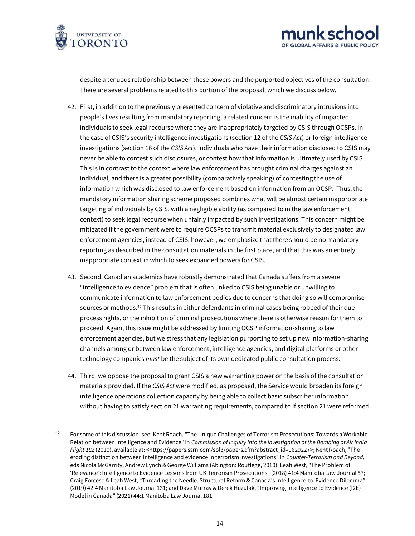



despite a tenuous relationship between these powers and the purported objectives of the consultation. There are several problems related to this portion of the proposal, which we discuss below.

- 42. First, in addition to the previously presented concern of violative and discriminatory intrusions into people's lives resulting from mandatory reporting, a related concern is the inability of impacted individuals to seek legal recourse where they are inappropriately targeted by CSIS through OCSPs. In the case of CSIS's security intelligence investigations (section 12 of the *CSIS Act*) or foreign intelligence investigations (section 16 of the *CSIS Act*), individuals who have their information disclosed to CSIS may never be able to contest such disclosures, or contest how that information is ultimately used by CSIS. This is in contrast to the context where law enforcement has brought criminal charges against an individual, and there is a greater possibility (comparatively speaking) of contesting the use of information which was disclosed to law enforcement based on information from an OCSP. Thus, the mandatory information sharing scheme proposed combines what will be almost certain inappropriate targeting of individuals by CSIS, with a negligible ability (as compared to in the law enforcement context) to seek legal recourse when unfairly impacted by such investigations. This concern might be mitigated if the government were to require OCSPs to transmit material exclusively to designated law enforcement agencies, instead of CSIS; however, we emphasize that there should be no mandatory reporting as described in the consultation materials in the first place, and that this was an entirely inappropriate context in which to seek expanded powers for CSIS.
- 43. Second, Canadian academics have robustly demonstrated that Canada suffers from a severe "intelligence to evidence" problem that is often linked to CSIS being unable or unwilling to communicate information to law enforcement bodies due to concerns that doing so will compromise sources or methods.<sup>40</sup> This results in either defendants in criminal cases being robbed of their due process rights, or the inhibition of criminal prosecutions where there is otherwise reason for them to proceed. Again, this issue might be addressed by limiting OCSP information-sharing to law enforcement agencies, but we stress that any legislation purporting to set up new information-sharing channels among or between law enforcement, intelligence agencies, and digital platforms or other technology companies *must* be the subject of its own dedicated public consultation process.
- 44. Third, we oppose the proposal to grant CSIS a new warranting power on the basis of the consultation materials provided. If the *CSIS Act* were modified, as proposed, the Service would broaden its foreign intelligence operations collection capacity by being able to collect basic subscriber information without having to satisfy section 21 warranting requirements, compared to if section 21 were reformed

<sup>&</sup>lt;sup>40</sup> For some of this discussion, see: Kent Roach, "The Unique Challenges of Terrorism Prosecutions: Towards a Workable Relation between Intelligence and Evidence" in *Commission of Inquiry into the Investigation of the Bombing of Air India Flight 182* (2010), available at: [<https://papers.ssrn.com/sol3/papers.cfm?abstract\\_id=1629227>](https://papers.ssrn.com/sol3/papers.cfm?abstract_id=1629227); Kent Roach, "The eroding distinction between intelligence and evidence in terrorism investigations" in *Counter-Terrorism and Beyond*, eds Nicola McGarrity, Andrew Lynch & George Williams (Abington: Routlege, 2010); Leah West, "The Problem of 'Relevance': Intelligence to Evidence Lessons from UK Terrorism Prosecutions" (2018) 41:4 Manitoba Law Journal 57; Craig Forcese & Leah West, "Threading the Needle: Structural Reform & Canada's Intelligence-to-Evidence Dilemma" (2019) 42:4 Manitoba Law Journal 131; and Dave Murray & Derek Huzulak, "Improving Intelligence to Evidence (I2E) Model in Canada" (2021) 44:1 Manitoba Law Journal 181.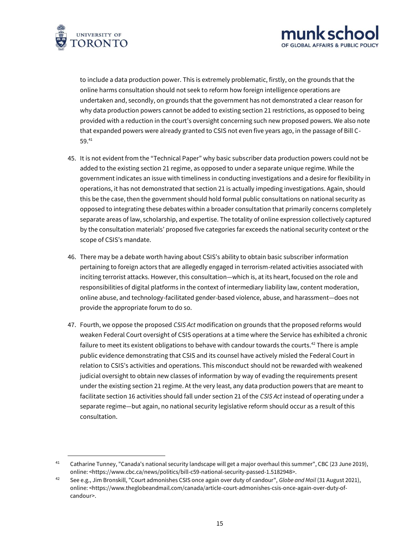



to include a data production power. This is extremely problematic, firstly, on the grounds that the online harms consultation should not seek to reform how foreign intelligence operations are undertaken and, secondly, on grounds that the government has not demonstrated a clear reason for why data production powers cannot be added to existing section 21 restrictions, as opposed to being provided with a reduction in the court's oversight concerning such new proposed powers. We also note that expanded powers were already granted to CSIS not even five years ago, in the passage of Bill C-59.<sup>41</sup>

- 45. It is not evident from the "Technical Paper" why basic subscriber data production powers could not be added to the existing section 21 regime, as opposed to under a separate unique regime. While the government indicates an issue with timeliness in conducting investigations and a desire for flexibility in operations, it has not demonstrated that section 21 is actually impeding investigations. Again, should this be the case, then the government should hold formal public consultations on national security as opposed to integrating these debates within a broader consultation that primarily concerns completely separate areas of law, scholarship, and expertise. The totality of online expression collectively captured by the consultation materials' proposed five categories far exceeds the national security context or the scope of CSIS's mandate.
- 46. There may be a debate worth having about CSIS's ability to obtain basic subscriber information pertaining to foreign actors that are allegedly engaged in terrorism-related activities associated with inciting terrorist attacks. However, this consultation—which is, at its heart, focused on the role and responsibilities of digital platforms in the context of intermediary liability law, content moderation, online abuse, and technology-facilitated gender-based violence, abuse, and harassment—does not provide the appropriate forum to do so.
- 47. Fourth, we oppose the proposed *CSIS Act* modification on grounds that the proposed reforms would weaken Federal Court oversight of CSIS operations at a time where the Service has exhibited a chronic failure to meet its existent obligations to behave with candour towards the courts.<sup>42</sup> There is ample public evidence demonstrating that CSIS and its counsel have actively misled the Federal Court in relation to CSIS's activities and operations. This misconduct should not be rewarded with weakened judicial oversight to obtain new classes of information by way of evading the requirements present under the existing section 21 regime. At the very least, any data production powers that are meant to facilitate section 16 activities should fall under section 21 of the *CSIS Act* instead of operating under a separate regime—but again, no national security legislative reform should occur as a result of this consultation.

<sup>&</sup>lt;sup>41</sup> Catharine Tunney, "Canada's national security landscape will get a major overhaul this summer", CBC (23 June 2019), online: [<https://www.cbc.ca/news/politics/bill-c59-national-security-passed-1.5182948>](https://www.cbc.ca/news/politics/bill-c59-national-security-passed-1.5182948).

<sup>42</sup> See e.g., Jim Bronskill, "Court admonishes CSIS once again over duty of candour", *Globe and Mail* (31 August 2021), online: [<https://www.theglobeandmail.com/canada/article-court-admonishes-csis-once-again-over-duty-of](https://www.theglobeandmail.com/canada/article-court-admonishes-csis-once-again-over-duty-of-candour)[candour>](https://www.theglobeandmail.com/canada/article-court-admonishes-csis-once-again-over-duty-of-candour).